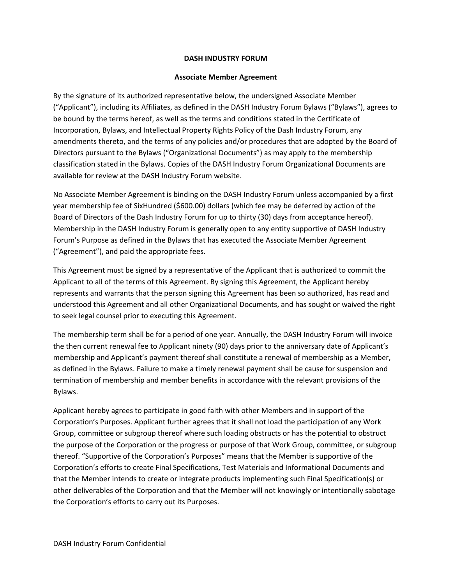## **DASH INDUSTRY FORUM**

## **Associate Member Agreement**

By the signature of its authorized representative below, the undersigned Associate Member ("Applicant"), including its Affiliates, as defined in the DASH Industry Forum Bylaws ("Bylaws"), agrees to be bound by the terms hereof, as well as the terms and conditions stated in the Certificate of Incorporation, Bylaws, and Intellectual Property Rights Policy of the Dash Industry Forum, any amendments thereto, and the terms of any policies and/or procedures that are adopted by the Board of Directors pursuant to the Bylaws ("Organizational Documents") as may apply to the membership classification stated in the Bylaws. Copies of the DASH Industry Forum Organizational Documents are available for review at the DASH Industry Forum website.

No Associate Member Agreement is binding on the DASH Industry Forum unless accompanied by a first year membership fee of SixHundred (\$600.00) dollars (which fee may be deferred by action of the Board of Directors of the Dash Industry Forum for up to thirty (30) days from acceptance hereof). Membership in the DASH Industry Forum is generally open to any entity supportive of DASH Industry Forum's Purpose as defined in the Bylaws that has executed the Associate Member Agreement ("Agreement"), and paid the appropriate fees.

This Agreement must be signed by a representative of the Applicant that is authorized to commit the Applicant to all of the terms of this Agreement. By signing this Agreement, the Applicant hereby represents and warrants that the person signing this Agreement has been so authorized, has read and understood this Agreement and all other Organizational Documents, and has sought or waived the right to seek legal counsel prior to executing this Agreement.

The membership term shall be for a period of one year. Annually, the DASH Industry Forum will invoice the then current renewal fee to Applicant ninety (90) days prior to the anniversary date of Applicant's membership and Applicant's payment thereof shall constitute a renewal of membership as a Member, as defined in the Bylaws. Failure to make a timely renewal payment shall be cause for suspension and termination of membership and member benefits in accordance with the relevant provisions of the Bylaws.

Applicant hereby agrees to participate in good faith with other Members and in support of the Corporation's Purposes. Applicant further agrees that it shall not load the participation of any Work Group, committee or subgroup thereof where such loading obstructs or has the potential to obstruct the purpose of the Corporation or the progress or purpose of that Work Group, committee, or subgroup thereof. "Supportive of the Corporation's Purposes" means that the Member is supportive of the Corporation's efforts to create Final Specifications, Test Materials and Informational Documents and that the Member intends to create or integrate products implementing such Final Specification(s) or other deliverables of the Corporation and that the Member will not knowingly or intentionally sabotage the Corporation's efforts to carry out its Purposes.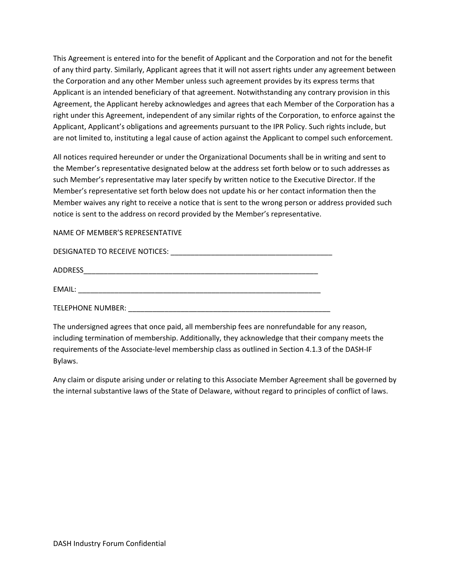This Agreement is entered into for the benefit of Applicant and the Corporation and not for the benefit of any third party. Similarly, Applicant agrees that it will not assert rights under any agreement between the Corporation and any other Member unless such agreement provides by its express terms that Applicant is an intended beneficiary of that agreement. Notwithstanding any contrary provision in this Agreement, the Applicant hereby acknowledges and agrees that each Member of the Corporation has a right under this Agreement, independent of any similar rights of the Corporation, to enforce against the Applicant, Applicant's obligations and agreements pursuant to the IPR Policy. Such rights include, but are not limited to, instituting a legal cause of action against the Applicant to compel such enforcement.

All notices required hereunder or under the Organizational Documents shall be in writing and sent to the Member's representative designated below at the address set forth below or to such addresses as such Member's representative may later specify by written notice to the Executive Director. If the Member's representative set forth below does not update his or her contact information then the Member waives any right to receive a notice that is sent to the wrong person or address provided such notice is sent to the address on record provided by the Member's representative.

NAME OF MEMBER'S REPRESENTATIVE

| DESIGNATED TO RECEIVE NOTICES: |
|--------------------------------|
| ADDRESS                        |
| EMAIL:                         |
| TELEPHONE NUMBER:              |

The undersigned agrees that once paid, all membership fees are nonrefundable for any reason, including termination of membership. Additionally, they acknowledge that their company meets the requirements of the Associate‐level membership class as outlined in Section 4.1.3 of the DASH‐IF Bylaws.

Any claim or dispute arising under or relating to this Associate Member Agreement shall be governed by the internal substantive laws of the State of Delaware, without regard to principles of conflict of laws.